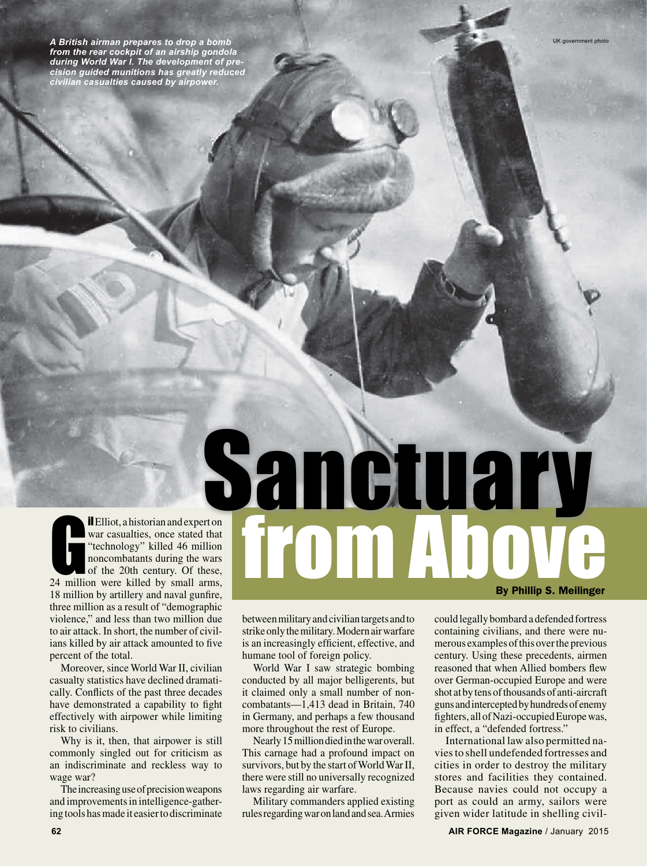*A British airman prepares to drop a bomb from the rear cockpit of an airship gondola during World War I. The development of precision guided munitions has greatly reduced civilian casualties caused by airpower.*

**il** Elliot, a historian and expert on<br>war casualties, once stated that<br>"technology" killed 46 million<br>noncombatants during the wars<br>of the 20th century. Of these,<br>24 million were killed by small arms, il Elliot, a historian and expert on war casualties, once stated that "technology" killed 46 million noncombatants during the wars of the 20th century. Of these, 18 million by artillery and naval gunfire, three million as a result of "demographic violence," and less than two million due to air attack. In short, the number of civilians killed by air attack amounted to five percent of the total. Sanctuary

Moreover, since World War II, civilian casualty statistics have declined dramatically. Conflicts of the past three decades have demonstrated a capability to fight effectively with airpower while limiting risk to civilians.

Why is it, then, that airpower is still commonly singled out for criticism as an indiscriminate and reckless way to wage war?

The increasing use of precision weapons and improvements in intelligence-gathering tools has made it easier to discriminate between military and civilian targets and to strike only the military. Modern air warfare is an increasingly efficient, effective, and humane tool of foreign policy.

from Above

World War I saw strategic bombing conducted by all major belligerents, but it claimed only a small number of noncombatants—1,413 dead in Britain, 740 in Germany, and perhaps a few thousand more throughout the rest of Europe.

Nearly 15 million died in the war overall. This carnage had a profound impact on survivors, but by the start of World War II, there were still no universally recognized laws regarding air warfare.

Military commanders applied existing rules regarding war on land and sea. Armies could legally bombard a defended fortress containing civilians, and there were numerous examples of this over the previous century. Using these precedents, airmen reasoned that when Allied bombers flew over German-occupied Europe and were shot at by tens of thousands of anti-aircraft guns and intercepted by hundreds of enemy fighters, all of Nazi-occupied Europe was, in effect, a "defended fortress."

By Phillip S. Meilinger

International law also permitted navies to shell undefended fortresses and cities in order to destroy the military stores and facilities they contained. Because navies could not occupy a port as could an army, sailors were given wider latitude in shelling civil-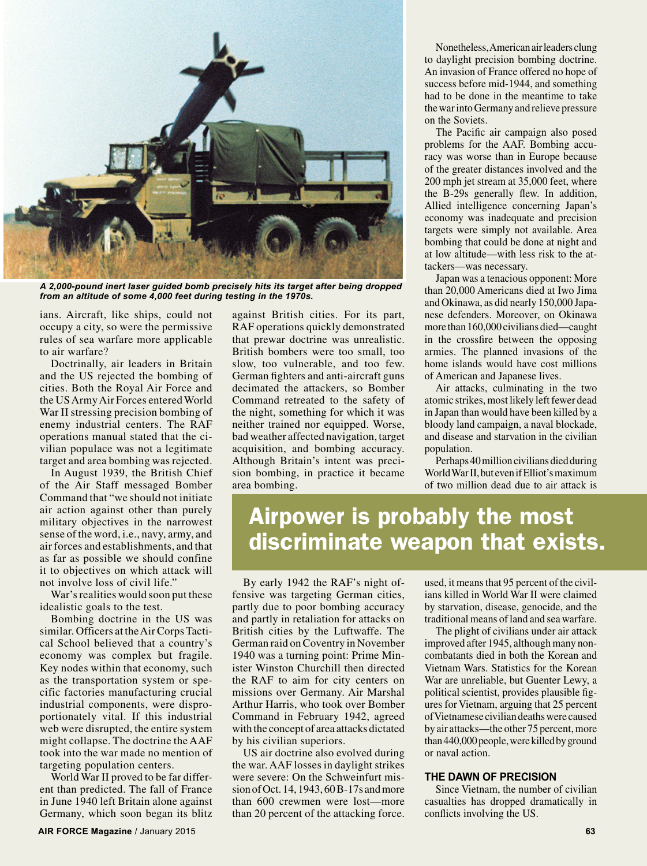

*A 2,000-pound inert laser guided bomb precisely hits its target after being dropped from an altitude of some 4,000 feet during testing in the 1970s.*

ians. Aircraft, like ships, could not occupy a city, so were the permissive rules of sea warfare more applicable to air warfare?

Doctrinally, air leaders in Britain and the US rejected the bombing of cities. Both the Royal Air Force and the US Army Air Forces entered World War II stressing precision bombing of enemy industrial centers. The RAF operations manual stated that the civilian populace was not a legitimate target and area bombing was rejected.

In August 1939, the British Chief of the Air Staff messaged Bomber Command that "we should not initiate air action against other than purely military objectives in the narrowest sense of the word, i.e., navy, army, and air forces and establishments, and that as far as possible we should confine it to objectives on which attack will not involve loss of civil life."

War's realities would soon put these idealistic goals to the test.

Bombing doctrine in the US was similar. Officers at the Air Corps Tactical School believed that a country's economy was complex but fragile. Key nodes within that economy, such as the transportation system or specific factories manufacturing crucial industrial components, were disproportionately vital. If this industrial web were disrupted, the entire system might collapse. The doctrine the AAF took into the war made no mention of targeting population centers.

World War II proved to be far different than predicted. The fall of France in June 1940 left Britain alone against Germany, which soon began its blitz against British cities. For its part, RAF operations quickly demonstrated that prewar doctrine was unrealistic. British bombers were too small, too slow, too vulnerable, and too few. German fighters and anti-aircraft guns decimated the attackers, so Bomber Command retreated to the safety of the night, something for which it was neither trained nor equipped. Worse, bad weather affected navigation, target acquisition, and bombing accuracy. Although Britain's intent was precision bombing, in practice it became area bombing.

Nonetheless, American air leaders clung to daylight precision bombing doctrine. An invasion of France offered no hope of success before mid-1944, and something had to be done in the meantime to take the war into Germany and relieve pressure on the Soviets.

The Pacific air campaign also posed problems for the AAF. Bombing accuracy was worse than in Europe because of the greater distances involved and the 200 mph jet stream at 35,000 feet, where the B-29s generally flew. In addition, Allied intelligence concerning Japan's economy was inadequate and precision targets were simply not available. Area bombing that could be done at night and at low altitude—with less risk to the attackers—was necessary.

Japan was a tenacious opponent: More than 20,000 Americans died at Iwo Jima and Okinawa, as did nearly 150,000 Japanese defenders. Moreover, on Okinawa more than 160,000 civilians died—caught in the crossfire between the opposing armies. The planned invasions of the home islands would have cost millions of American and Japanese lives.

Air attacks, culminating in the two atomic strikes, most likely left fewer dead in Japan than would have been killed by a bloody land campaign, a naval blockade, and disease and starvation in the civilian population.

Perhaps 40 million civilians died during World War II, but even if Elliot's maximum of two million dead due to air attack is

## Airpower is probably the most discriminate weapon that exists.

By early 1942 the RAF's night offensive was targeting German cities, partly due to poor bombing accuracy and partly in retaliation for attacks on British cities by the Luftwaffe. The German raid on Coventry in November 1940 was a turning point: Prime Minister Winston Churchill then directed the RAF to aim for city centers on missions over Germany. Air Marshal Arthur Harris, who took over Bomber Command in February 1942, agreed with the concept of area attacks dictated by his civilian superiors.

US air doctrine also evolved during the war. AAF losses in daylight strikes were severe: On the Schweinfurt mission of Oct. 14, 1943, 60 B-17s and more than 600 crewmen were lost—more than 20 percent of the attacking force.

used, it means that 95 percent of the civilians killed in World War II were claimed by starvation, disease, genocide, and the traditional means of land and sea warfare.

The plight of civilians under air attack improved after 1945, although many noncombatants died in both the Korean and Vietnam Wars. Statistics for the Korean War are unreliable, but Guenter Lewy, a political scientist, provides plausible figures for Vietnam, arguing that 25 percent of Vietnamese civilian deaths were caused by air attacks—the other 75 percent, more than 440,000 people, were killed by ground or naval action.

## **THE DAWN OF PRECISION**

Since Vietnam, the number of civilian casualties has dropped dramatically in conflicts involving the US.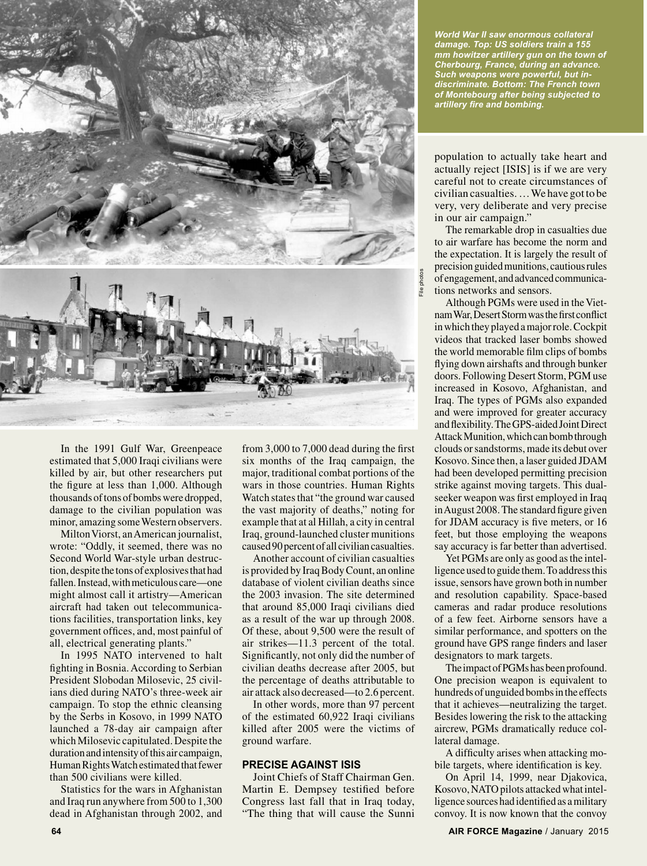

In the 1991 Gulf War, Greenpeace estimated that 5,000 Iraqi civilians were killed by air, but other researchers put the figure at less than 1,000. Although thousands of tons of bombs were dropped, damage to the civilian population was minor, amazing some Western observers.

Milton Viorst, an American journalist, wrote: "Oddly, it seemed, there was no Second World War-style urban destruction, despite the tons of explosives that had fallen. Instead, with meticulous care—one might almost call it artistry—American aircraft had taken out telecommunications facilities, transportation links, key government offices, and, most painful of all, electrical generating plants."

In 1995 NATO intervened to halt fighting in Bosnia. According to Serbian President Slobodan Milosevic, 25 civilians died during NATO's three-week air campaign. To stop the ethnic cleansing by the Serbs in Kosovo, in 1999 NATO launched a 78-day air campaign after which Milosevic capitulated. Despite the duration and intensity of this air campaign, Human Rights Watch estimated that fewer than 500 civilians were killed.

Statistics for the wars in Afghanistan and Iraq run anywhere from 500 to 1,300 dead in Afghanistan through 2002, and

from 3,000 to 7,000 dead during the first six months of the Iraq campaign, the major, traditional combat portions of the wars in those countries. Human Rights Watch states that "the ground war caused the vast majority of deaths," noting for example that at al Hillah, a city in central Iraq, ground-launched cluster munitions caused 90 percent of all civilian casualties.

Another account of civilian casualties is provided by Iraq Body Count, an online database of violent civilian deaths since the 2003 invasion. The site determined that around 85,000 Iraqi civilians died as a result of the war up through 2008. Of these, about 9,500 were the result of air strikes—11.3 percent of the total. Significantly, not only did the number of civilian deaths decrease after 2005, but the percentage of deaths attributable to air attack also decreased—to 2.6 percent.

In other words, more than 97 percent of the estimated 60,922 Iraqi civilians killed after 2005 were the victims of ground warfare.

## **PRECISE AGAINST ISIS**

Joint Chiefs of Staff Chairman Gen. Martin E. Dempsey testified before Congress last fall that in Iraq today, "The thing that will cause the Sunni

*World War II saw enormous collateral damage. Top: US soldiers train a 155 mm howitzer artillery gun on the town of Cherbourg, France, during an advance. Such weapons were powerful, but indiscriminate. Bottom: The French town of Montebourg after being subjected to artillery fire and bombing.* 

population to actually take heart and actually reject [ISIS] is if we are very careful not to create circumstances of civilian casualties. … We have got to be very, very deliberate and very precise in our air campaign."

The remarkable drop in casualties due to air warfare has become the norm and the expectation. It is largely the result of precision guided munitions, cautious rules of engagement, and advanced communications networks and sensors.

Although PGMs were used in the Vietnam War, Desert Storm was the first conflict in which they played a major role. Cockpit videos that tracked laser bombs showed the world memorable film clips of bombs flying down airshafts and through bunker doors. Following Desert Storm, PGM use increased in Kosovo, Afghanistan, and Iraq. The types of PGMs also expanded and were improved for greater accuracy and flexibility. The GPS-aided Joint Direct Attack Munition, which can bomb through clouds or sandstorms, made its debut over Kosovo. Since then, a laser guided JDAM had been developed permitting precision strike against moving targets. This dualseeker weapon was first employed in Iraq in August 2008. The standard figure given for JDAM accuracy is five meters, or 16 feet, but those employing the weapons say accuracy is far better than advertised.

Yet PGMs are only as good as the intelligence used to guide them. To address this issue, sensors have grown both in number and resolution capability. Space-based cameras and radar produce resolutions of a few feet. Airborne sensors have a similar performance, and spotters on the ground have GPS range finders and laser designators to mark targets.

The impact of PGMs has been profound. One precision weapon is equivalent to hundreds of unguided bombs in the effects that it achieves—neutralizing the target. Besides lowering the risk to the attacking aircrew, PGMs dramatically reduce collateral damage.

A difficulty arises when attacking mobile targets, where identification is key.

On April 14, 1999, near Djakovica, Kosovo, NATO pilots attacked what intelligence sources had identified as a military convoy. It is now known that the convoy